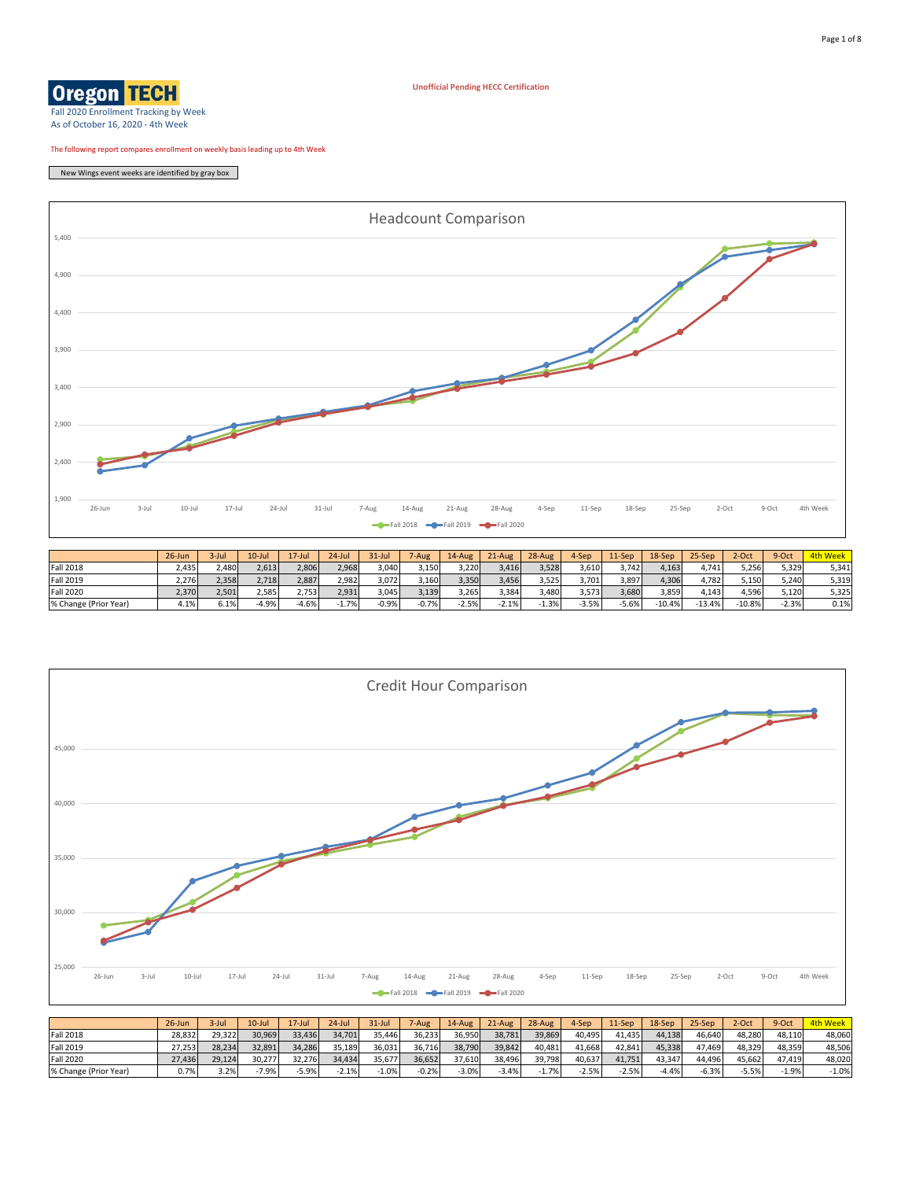## **Oregon TEGH**

**Unofficial Pending HECC Certification**

Fall 2020 Enrollment Tracking by Week As of October 16, 2020 - 4th Week

The following report compares enrollment on weekly basis leading up to 4th Week

New Wings event weeks are identified by gray box





|                       | $26$ -Jun | 3-Jul  | $10 -$ Jul | $17 -$ Jul | $24$ -Jul | $31 -$ Jul | 7-Aug   | $14$ -Aug | $21-Au$ g | 28-Aug | 4-Sep   | $11-Sep$ | 18-Sep  | 25-Sep  | 2-Oct  | 9-Oct  | 4th Wee |
|-----------------------|-----------|--------|------------|------------|-----------|------------|---------|-----------|-----------|--------|---------|----------|---------|---------|--------|--------|---------|
| <b>Fall 2018</b>      | 28,832    | 29,322 | 30,969     | 33,436     | 34.701    | 35.446     | 36,233  | 36,950    | 38,781    | 39,869 | 40,495  | 41,435   | 44.138  | 46,640  | 48.280 | 48,110 | 48.060  |
| <b>Fall 2019</b>      | 27,253    | 28,234 | 32,891     | 34,286     | 35.189    | 36,031     | 36,716  | 38,790    | 39,842    | 40,481 | 41,668  | 42,841   | 45.338  | 17,469  | 48.329 | 48,359 | 48.506  |
| Fall 2020             | 27,436    | 29.124 | 30.277     | 32.276     | 34.434    | 35.677     | 36,652  | 37.610    | 38,496    | 39.798 | 40.637  | 41,751   | 43.347  | 44.496  | 45.662 | 47.419 | 48.020  |
| % Change (Prior Year) | 0.7%      | 3.2%   | $-7.9%$    | 5.9%       | $-2.1%$   | $-1.0%$    | $-0.2%$ | $-3.0%$   | $-3.4%$   | 1.7%   | $-2.5%$ | $-2.5%$  | $-4.4%$ | $-6.3%$ | -5.5%  | 1.9%   | $-1.0%$ |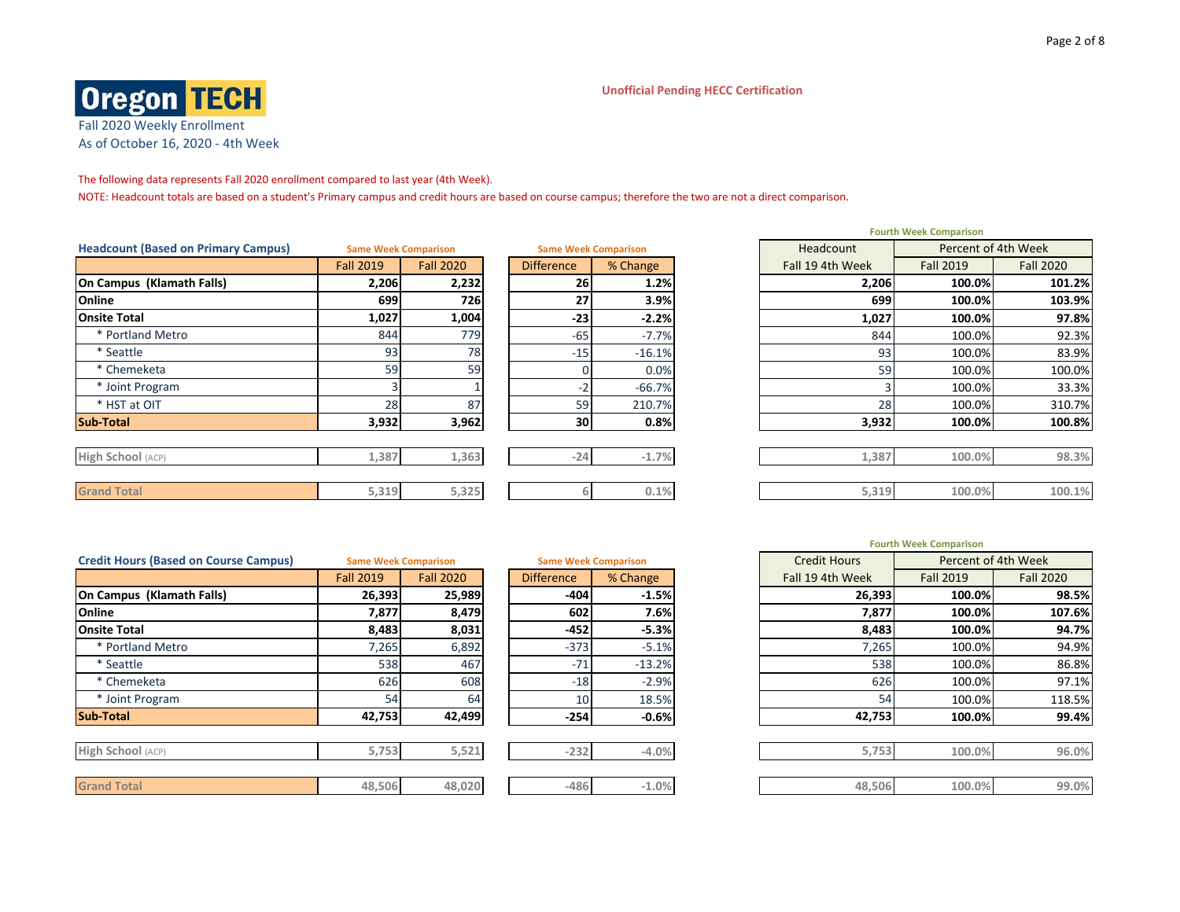### **Unofficial Pending HECC Certification**



The following data represents Fall 2020 enrollment compared to last year (4th Week).

NOTE: Headcount totals are based on a student's Primary campus and credit hours are based on course campus; therefore the two are not a direct comparison.

| <b>Headcount (Based on Primary Campus)</b> | <b>Same Week Comparison</b> |                  |                   | <b>Same Week Comparison</b> |  | Headcount        | Percent of 4th Week |                  |
|--------------------------------------------|-----------------------------|------------------|-------------------|-----------------------------|--|------------------|---------------------|------------------|
|                                            | <b>Fall 2019</b>            | <b>Fall 2020</b> | <b>Difference</b> | % Change                    |  | Fall 19 4th Week | <b>Fall 2019</b>    | <b>Fall 2020</b> |
| On Campus (Klamath Falls)                  | 2,206                       | 2,232            | 26                | 1.2%                        |  | 2,206            | 100.0%              | 101.2%           |
| Online                                     | 699                         | 726              | 27                | 3.9%                        |  | 699              | 100.0%              | 103.9%           |
| <b>Onsite Total</b>                        | 1,027                       | 1,004            | $-23$             | $-2.2%$                     |  | 1,027            | 100.0%              | 97.8%            |
| * Portland Metro                           | 844                         | 779              | $-65$             | $-7.7%$                     |  | 844              | 100.0%              | 92.3%            |
| * Seattle                                  | 93                          | 78               | $-15$             | $-16.1%$                    |  | 93               | 100.0%              | 83.9%            |
| * Chemeketa                                | 59                          | 59               |                   | 0.0%                        |  | 59               | 100.0%              | 100.0%           |
| * Joint Program                            |                             |                  |                   | $-66.7%$                    |  |                  | 100.0%              | 33.3%            |
| * HST at OIT                               | 28                          | 87               | 59                | 210.7%                      |  | 28               | 100.0%              | 310.7%           |
| <b>Sub-Total</b>                           | 3,932                       | 3,962            | 30 <sub>1</sub>   | 0.8%                        |  | 3,932            | 100.0%              | 100.8%           |
|                                            |                             |                  |                   |                             |  |                  |                     |                  |
| High School (ACP)                          | 1,387                       | 1,363            | $-24$             | $-1.7%$                     |  | 1,387            | 100.0%              | 98.3%            |
|                                            |                             |                  |                   |                             |  |                  |                     |                  |
| <b>Grand Total</b>                         | 5,319                       | 5,325            |                   | 0.1%                        |  | 5,319            | 100.0%              | 100.1%           |

|                  | <b>Same Week Comparison</b> | Headcount<br><b>Same Week Comparison</b> |          |  |  |  |  |
|------------------|-----------------------------|------------------------------------------|----------|--|--|--|--|
| <b>Fall 2019</b> | <b>Fall 2020</b>            | <b>Difference</b>                        | % Change |  |  |  |  |
| 2,206            | 2,232                       | 26                                       | 1.2%     |  |  |  |  |
| 699              | 726                         | 27                                       | 3.9%     |  |  |  |  |
| 1,027            | 1,004                       | $-23$                                    | $-2.2%$  |  |  |  |  |
| 844              | 779                         | $-65$                                    | $-7.7%$  |  |  |  |  |
| 93               | 78                          | $-15$                                    | $-16.1%$ |  |  |  |  |
| 59               | 59                          | 0                                        | 0.0%     |  |  |  |  |
| 3                |                             | $-2$                                     | $-66.7%$ |  |  |  |  |
| 28               | 87                          | 59                                       | 210.7%   |  |  |  |  |
| 3,932            | 3,962                       | 30                                       | 0.8%     |  |  |  |  |
|                  |                             |                                          |          |  |  |  |  |
| 1,387            | 1,363                       | $-24$                                    | $-1.7%$  |  |  |  |  |
|                  |                             |                                          |          |  |  |  |  |
| 5,319            | 5,325                       | 6                                        | 0.1%     |  |  |  |  |

|                  |                  | <b>Same Week Comparison</b> |          | Percent of 4th Week                                                                                                                                     |                  |                     |                  |
|------------------|------------------|-----------------------------|----------|---------------------------------------------------------------------------------------------------------------------------------------------------------|------------------|---------------------|------------------|
| <b>Fall 2019</b> | <b>Fall 2020</b> | <b>Difference</b>           | % Change |                                                                                                                                                         | Fall 19 4th Week | <b>Fall 2019</b>    | <b>Fall 2020</b> |
| 26,393           | 25,989           |                             |          |                                                                                                                                                         | 26,393           | 100.0%              | 98.5%            |
| 7,877            | 8,479            |                             |          |                                                                                                                                                         | 7,877            | 100.0%              | 107.6%           |
| 8,483            | 8,031            |                             |          |                                                                                                                                                         | 8,483            | 100.0%              | 94.7%            |
| 7,265            | 6,892            |                             | $-5.1%$  |                                                                                                                                                         | 7,265            | 100.0%              | 94.9%            |
| 538              | 467              | $-71$                       |          |                                                                                                                                                         | 538              | 100.0%              | 86.8%            |
| 626              | 608              |                             | $-2.9%$  |                                                                                                                                                         | 626              | 100.0%              | 97.1%            |
| 54               | 64               |                             |          |                                                                                                                                                         | 54 <sub>1</sub>  | 100.0%              | 118.5%           |
| 42,753           | 42,499           |                             |          |                                                                                                                                                         | 42,753           | 100.0%              | 99.4%            |
|                  |                  |                             |          |                                                                                                                                                         |                  |                     |                  |
| 5,753            | 5,521            |                             |          |                                                                                                                                                         | 5,753            | 100.0%              | 96.0%            |
|                  |                  |                             |          |                                                                                                                                                         |                  |                     |                  |
| 48,506           | 48,020           |                             | $-1.0%$  |                                                                                                                                                         | 48,506           | 100.0%              | 99.0%            |
|                  |                  | <b>Same Week Comparison</b> |          | $-404$<br>$-1.5%$<br>602<br>7.6%<br>$-452$<br>$-5.3%$<br>$-373$<br>$-13.2%$<br>$-18$<br>18.5%<br>10<br>$-254$<br>$-0.6%$<br>$-4.0%$<br>$-232$<br>$-486$ |                  | <b>Credit Hours</b> |                  |

| <b>Fourth Week Comparison</b> |                     |         |  |  |  |  |  |  |  |  |  |
|-------------------------------|---------------------|---------|--|--|--|--|--|--|--|--|--|
| <b>Credit Hours</b>           | Percent of 4th Week |         |  |  |  |  |  |  |  |  |  |
| Fall 19 4th Week              | <b>Fall 2019</b>    | Fall 20 |  |  |  |  |  |  |  |  |  |
| 26,393                        | 100.0%              |         |  |  |  |  |  |  |  |  |  |
| 7,877                         | 100.0%              |         |  |  |  |  |  |  |  |  |  |
| 8,483                         | 100.0%              |         |  |  |  |  |  |  |  |  |  |
| 7,265                         | 100.0%              |         |  |  |  |  |  |  |  |  |  |
| 538                           | 100.0%              |         |  |  |  |  |  |  |  |  |  |
|                               |                     |         |  |  |  |  |  |  |  |  |  |

| <b>Fall 2019</b> | <b>Fall 2020</b> | <b>Difference</b> | % Change | Fall 19 4th Week | <b>Fall 2019</b> | <b>Fall 2020</b> |
|------------------|------------------|-------------------|----------|------------------|------------------|------------------|
| 26,393           | 25,989           | $-404$            | $-1.5%$  | 26,393           | 100.0%           | 98.5%            |
| 7,877            | 8,479            | 602               | 7.6%     | 7,877            | 100.0%           | 107.6%           |
| 8,483            | 8,031            | $-452$            | $-5.3%$  | 8,483            | 100.0%           | 94.7%            |
| 7,265            | 6,892            | $-373$            | $-5.1%$  | 7,265            | 100.0%           | 94.9%            |
| 538              | 467              | $-71$             | $-13.2%$ | 538              | 100.0%           | 86.8%            |
| 626              | 608              | $-18$             | $-2.9%$  | 626              | 100.0%           | 97.1%            |
| 54               | 64               | 10                | 18.5%    | 54               | 100.0%           | 118.5%           |
| 42,753           | 42,499           | $-254$            | $-0.6%$  | 42,753           | 100.0%           | 99.4%            |
|                  |                  |                   |          |                  |                  |                  |
| 5,753            | 5,521            | $-232$            | $-4.0%$  | 5,753            | 100.0%           | 96.0%            |
|                  |                  |                   |          |                  |                  |                  |
| 48,506           | 48,020           | $-486$            | $-1.0%$  | 48,506           | 100.0%           | 99.0%            |
|                  |                  |                   |          |                  |                  |                  |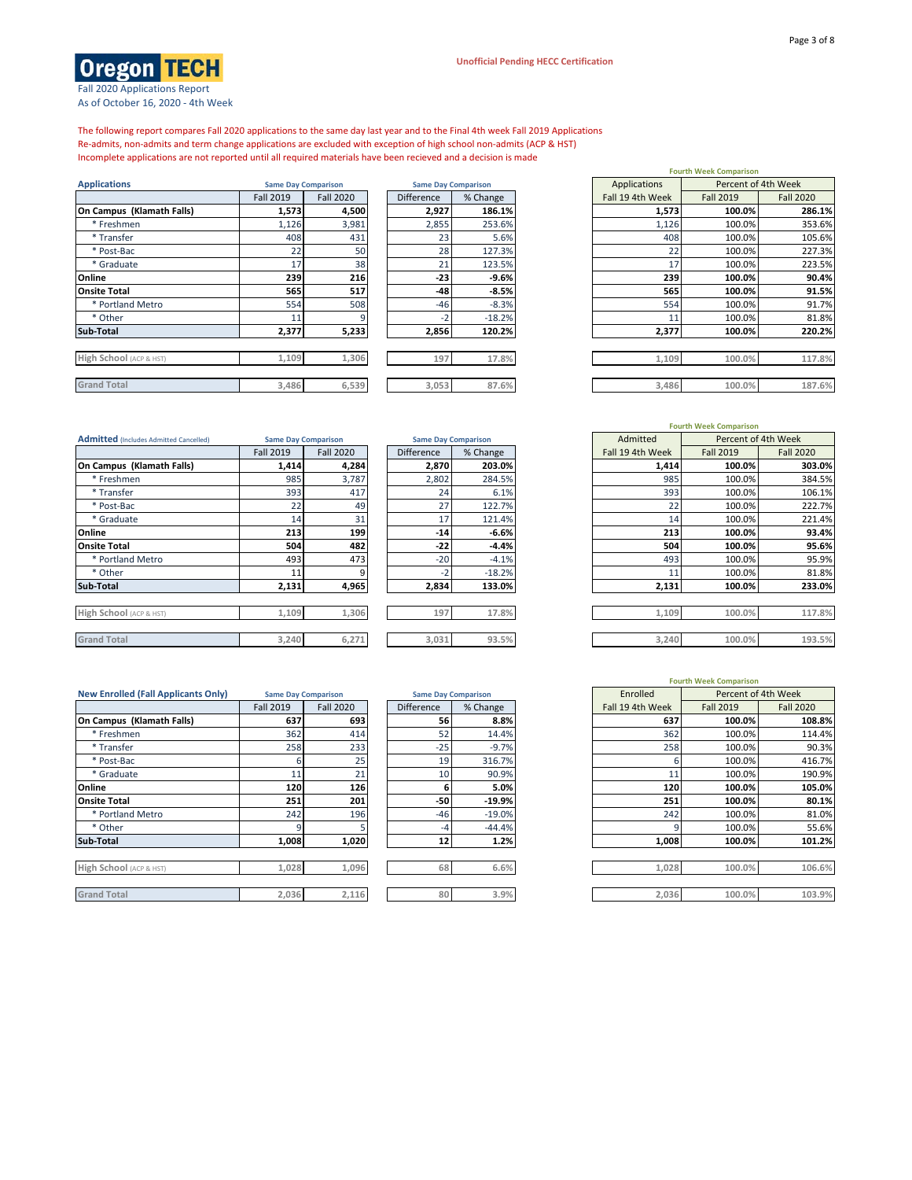┓



Fall 2020 Applications Report As of October 16, 2020 - 4th Week

The following report compares Fall 2020 applications to the same day last year and to the Final 4th week Fall 2019 Applications Re-admits, non-admits and term change applications are excluded with exception of high school non-admits (ACP & HST) Incomplete applications are not reported until all required materials have been recieved and a decision is made

| <b>Applications</b>       | <b>Same Day Comparison</b> |                  |                   | <b>Same Day Comparison</b> |  | Applications     |                  | Percent of 4th Week |
|---------------------------|----------------------------|------------------|-------------------|----------------------------|--|------------------|------------------|---------------------|
|                           | <b>Fall 2019</b>           | <b>Fall 2020</b> | <b>Difference</b> | % Change                   |  | Fall 19 4th Week | <b>Fall 2019</b> | <b>Fall 2020</b>    |
| On Campus (Klamath Falls) | 1,573                      | 4,500            | 2,927             | 186.1%                     |  | 1,573            | 100.0%           | 286.1%              |
| * Freshmen                | 1,126                      | 3,981            | 2,855             | 253.6%                     |  | 1,126            | 100.0%           | 353.6%              |
| * Transfer                | 408                        | 431              | 23                | 5.6%                       |  | 408              | 100.0%           | 105.6%              |
| * Post-Bac                | 22                         | 50               | 28                | 127.3%                     |  | 22               | 100.0%           | 227.3%              |
| * Graduate                | 17                         | 38               | 21                | 123.5%                     |  | 17               | 100.0%           | 223.5%              |
| Online                    | 239                        | 216              | $-23$             | $-9.6%$                    |  | 239              | 100.0%           | 90.4%               |
| <b>Onsite Total</b>       | 565                        | 517              | -48               | $-8.5%$                    |  | 565              | 100.0%           | 91.5%               |
| * Portland Metro          | 554                        | 508              | $-46$             | $-8.3%$                    |  | 554              | 100.0%           | 91.7%               |
| * Other                   | 11                         |                  | -2                | $-18.2%$                   |  |                  | 100.0%           | 81.8%               |
| Sub-Total                 | 2,377                      | 5,233            | 2,856             | 120.2%                     |  | 2,377            | 100.0%           | 220.2%              |
|                           |                            |                  |                   |                            |  |                  |                  |                     |
| High School (ACP & HST)   | 1,109                      | 1,306            | 197               | 17.8%                      |  | 1,109            | 100.0%           | 117.8%              |
| <b>Grand Total</b>        | 3,486                      | 6,539            | 3,053             | 87.6%                      |  | 3,486            | 100.0%           | 187.6%              |
|                           |                            |                  |                   |                            |  |                  |                  |                     |

|                            |                   |          | <b>Fourth Week Comparison</b> |                     |                                                                       |  |  |  |  |
|----------------------------|-------------------|----------|-------------------------------|---------------------|-----------------------------------------------------------------------|--|--|--|--|
| <b>Same Day Comparison</b> |                   |          | Applications                  | Percent of 4th Week |                                                                       |  |  |  |  |
| <b>Fall 2020</b>           | <b>Difference</b> | % Change | Fall 19 4th Week              | <b>Fall 2019</b>    | <b>Fall 2020</b>                                                      |  |  |  |  |
|                            | 2,927             | 186.1%   |                               | 100.0%              | 286.1%                                                                |  |  |  |  |
| 3,981                      | 2,855             | 253.6%   |                               | 100.0%              | 353.6%                                                                |  |  |  |  |
| 431                        | 23                | 5.6%     |                               | 100.0%              | 105.6%                                                                |  |  |  |  |
| 50                         | 28                | 127.3%   | 22                            | 100.0%              | 227.3%                                                                |  |  |  |  |
| 38                         | 21                | 123.5%   | 17                            | 100.0%              | 223.5%                                                                |  |  |  |  |
| 216                        | -23               | $-9.6%$  |                               | 100.0%              | 90.4%                                                                 |  |  |  |  |
| 517                        | -48               | $-8.5%$  |                               | 100.0%              | 91.5%                                                                 |  |  |  |  |
| 508                        | $-46$             | $-8.3%$  |                               | 100.0%              | 91.7%                                                                 |  |  |  |  |
|                            | $-2$              | $-18.2%$ | 11                            | 100.0%              | 81.8%                                                                 |  |  |  |  |
| 5,233                      | 2,856             | 120.2%   |                               | 100.0%              | 220.2%                                                                |  |  |  |  |
|                            |                   |          |                               |                     |                                                                       |  |  |  |  |
| 1,306                      | 197               | 17.8%    |                               | 100.0%              | 117.8%                                                                |  |  |  |  |
|                            |                   |          |                               |                     |                                                                       |  |  |  |  |
| 6,539                      | 3,053             | 87.6%    |                               | 100.0%              | 187.6%                                                                |  |  |  |  |
|                            | 4,500             |          | <b>Same Day Comparison</b>    |                     | 1,573<br>1,126<br>408<br>239<br>565<br>554<br>2,377<br>1,109<br>3,486 |  |  |  |  |

| <b>Admitted</b> (Includes Admitted Cancelled) | <b>Same Day Comparison</b> |                  | <b>Same Day Comparison</b> |          | Admitted         |                  | Percent of 4th Week |
|-----------------------------------------------|----------------------------|------------------|----------------------------|----------|------------------|------------------|---------------------|
|                                               | <b>Fall 2019</b>           | <b>Fall 2020</b> | <b>Difference</b>          | % Change | Fall 19 4th Week | <b>Fall 2019</b> | <b>Fall 2020</b>    |
| On Campus (Klamath Falls)                     | 1,414                      | 4,284            | 2,870                      | 203.0%   | 1,414            | 100.0%           | 303.0%              |
| * Freshmen                                    | 985                        | 3,787            | 2,802                      | 284.5%   | 985              | 100.0%           | 384.5%              |
| * Transfer                                    | 393                        | 417              | 24                         | 6.1%     | 393              | 100.0%           | 106.1%              |
| * Post-Bac                                    | 22                         | 49               | 27                         | 122.7%   | 22               | 100.0%           | 222.7%              |
| * Graduate                                    | 14                         | 31               | 17                         | 121.4%   | 14               | 100.0%           | 221.4%              |
| Online                                        | 213                        | 199              | $-14$                      | $-6.6%$  | 213              | 100.0%           | 93.4%               |
| <b>Onsite Total</b>                           | 504                        | 482              | $-22$                      | $-4.4%$  | 504              | 100.0%           | 95.6%               |
| * Portland Metro                              | 493                        | 473              | $-20$                      | $-4.1%$  | 493              | 100.0%           | 95.9%               |
| * Other                                       | 11                         | 9                | $-2$                       | $-18.2%$ | 11               | 100.0%           | 81.8%               |
| Sub-Total                                     | 2,131                      | 4,965            | 2,834                      | 133.0%   | 2,131            | 100.0%           | 233.0%              |
| High School (ACP & HST)                       | 1,109                      | 1,306            | 197                        | 17.8%    | 1,109            | 100.0%           | 117.8%              |
| <b>Grand Total</b>                            | 3,240                      | 6,271            | 3,031                      | 93.5%    | 3,240            | 100.0%           | 193.5%              |

| <b>Same Day Comparison</b> |          |  |  |  |  |  |  |  |  |  |
|----------------------------|----------|--|--|--|--|--|--|--|--|--|
| Difference                 | % Change |  |  |  |  |  |  |  |  |  |
| 2,870                      | 203.0%   |  |  |  |  |  |  |  |  |  |
| 2,802                      | 284.5%   |  |  |  |  |  |  |  |  |  |
| 24                         | 6.1%     |  |  |  |  |  |  |  |  |  |
| 27                         | 122.7%   |  |  |  |  |  |  |  |  |  |
| 17                         | 121.4%   |  |  |  |  |  |  |  |  |  |
| $-14$                      | $-6.6%$  |  |  |  |  |  |  |  |  |  |
| $-22$                      | $-4.4%$  |  |  |  |  |  |  |  |  |  |
| $-20$                      | $-4.1%$  |  |  |  |  |  |  |  |  |  |
| $-2$                       | $-18.2%$ |  |  |  |  |  |  |  |  |  |
| 2.834                      | 133.0%   |  |  |  |  |  |  |  |  |  |
|                            |          |  |  |  |  |  |  |  |  |  |
| 197                        | 17.8%    |  |  |  |  |  |  |  |  |  |
|                            |          |  |  |  |  |  |  |  |  |  |
| 3,031                      | 93.5%    |  |  |  |  |  |  |  |  |  |
|                            |          |  |  |  |  |  |  |  |  |  |

| <b>New Enrolled (Fall Applicants Only)</b> | <b>Same Day Comparison</b> |                  |                   | <b>Same Day Comparison</b> | Enrolled         |                  | Percent of 4th Week |
|--------------------------------------------|----------------------------|------------------|-------------------|----------------------------|------------------|------------------|---------------------|
|                                            | <b>Fall 2019</b>           | <b>Fall 2020</b> | <b>Difference</b> | % Change                   | Fall 19 4th Week | <b>Fall 2019</b> | <b>Fall 2020</b>    |
| On Campus (Klamath Falls)                  | 637                        | 693              | 56                | 8.8%                       | 637              | 100.0%           | 108.8%              |
| * Freshmen                                 | 362                        | 414              | 52                | 14.4%                      | 362              | 100.0%           | 114.4%              |
| * Transfer                                 | 258                        | 233              | $-25$             | $-9.7%$                    | 258              | 100.0%           | 90.3%               |
| * Post-Bac                                 |                            | 25               | 19                | 316.7%                     |                  | 100.0%           | 416.7%              |
| * Graduate                                 | 11                         | 21               | 10                | 90.9%                      |                  | 100.0%           | 190.9%              |
| Online                                     | 120                        | 126              | 6                 | 5.0%                       | 120              | 100.0%           | 105.0%              |
| <b>Onsite Total</b>                        | 251                        | 201              | $-50$             | $-19.9%$                   | 251              | 100.0%           | 80.1%               |
| * Portland Metro                           | 242                        | 196              | $-46$             | $-19.0%$                   | 242              | 100.0%           | 81.0%               |
| * Other                                    |                            |                  | -4                | $-44.4%$                   |                  | 100.0%           | 55.6%               |
| Sub-Total                                  | 1,008                      | 1,020            | 12                | 1.2%                       | 1,008            | 100.0%           | 101.2%              |
|                                            |                            |                  |                   |                            |                  |                  |                     |
| High School (ACP & HST)                    | 1,028                      | 1,096            | 68                | 6.6%                       | 1,028            | 100.0%           | 106.6%              |
|                                            |                            |                  |                   |                            |                  |                  |                     |
|                                            |                            |                  |                   |                            |                  |                  |                     |

|                   | <b>Same Day Comparison</b> |
|-------------------|----------------------------|
| <b>Difference</b> | % Change                   |
| 56                | 8.8%                       |
| 52                | 14.4%                      |
| $-25$             | $-9.7%$                    |
| 19                | 316.7%                     |
| 10                | 90.9%                      |
| 6                 | 5.0%                       |
| $-50$             | $-19.9%$                   |
| $-46$             | $-19.0%$                   |
| -4                | $-44.4%$                   |
| 12                | 1.2%                       |
|                   |                            |
| --                | $ -$                       |

| <b>I FIRD SCROOL (ACP &amp; HST)</b><br>۰ | $\perp$ , UZC | . טכט | υŏ | b.b%         |
|-------------------------------------------|---------------|-------|----|--------------|
|                                           |               |       |    |              |
| Grand<br>Total                            | 2 UJC         | .116  | 80 | 2.9%<br>3.9% |

| Same Day Comparison |                  | Same Day Comparison |          |
|---------------------|------------------|---------------------|----------|
| <b>Fall 2019</b>    | <b>Fall 2020</b> | <b>Difference</b>   | % Change |
| 1,414               | 4,284            | 2,870               | 203.0%   |
| 985                 | 3,787            | 2,802               | 284.5%   |
| 393                 | 417              | 24                  | 6.1%     |
| 22                  | 49               | 27                  | 122.7%   |
| 14                  | 31               | 17                  | 121.4%   |
| 213                 | 199              | $-14$               | $-6.6%$  |
| 504                 | 482              | -22                 | $-4.4%$  |
| 493                 | 473              | $-20$               | $-4.1%$  |
| 11                  | 9                | $-2$                | $-18.2%$ |
| 2,131               | 4,965            | 2,834               | 133.0%   |
|                     |                  |                     |          |
| 1,109               | 1,306            | 197                 | 17.8%    |
|                     |                  |                     |          |
| 3,240               | 6,271            | 3,031               | 93.5%    |

|                            |                  |                   |                            | <b>Fourth Week Comparison</b> |                  |                     |  |
|----------------------------|------------------|-------------------|----------------------------|-------------------------------|------------------|---------------------|--|
| <b>Same Day Comparison</b> |                  |                   | <b>Same Day Comparison</b> | Enrolled                      |                  | Percent of 4th Week |  |
| <b>Fall 2019</b>           | <b>Fall 2020</b> | <b>Difference</b> | % Change                   | Fall 19 4th Week              | <b>Fall 2019</b> | <b>Fall 2020</b>    |  |
| 637                        | 693              | 56                | 8.8%                       | 637                           | 100.0%           | 108.8%              |  |
| 362                        | 414              | 52                | 14.4%                      | 362                           | 100.0%           | 114.4%              |  |
| 258                        | 233              | $-25$             | $-9.7%$                    | 258                           | 100.0%           | 90.3%               |  |
| 6                          | 25               | 19                | 316.7%                     | 6                             | 100.0%           | 416.7%              |  |
| 11                         | 21               | 10                | 90.9%                      | 11                            | 100.0%           | 190.9%              |  |
| 120                        | 126              | 6                 | 5.0%                       | 120                           | 100.0%           | 105.0%              |  |
| 251                        | 201              | -50               | $-19.9%$                   | 251                           | 100.0%           | 80.1%               |  |
| 242                        | 196              | $-46$             | $-19.0%$                   | 242                           | 100.0%           | 81.0%               |  |
| 9                          |                  | -4                | $-44.4%$                   | 9                             | 100.0%           | 55.6%               |  |
| 1,008                      | 1,020            | 12                | 1.2%                       | 1,008                         | 100.0%           | 101.2%              |  |
|                            |                  |                   |                            |                               |                  |                     |  |
| 1,028                      | 1,096            | 68                | 6.6%                       | 1,028                         | 100.0%           | 106.6%              |  |
|                            |                  |                   |                            |                               |                  |                     |  |
| 2,036                      | 2,116            | 80                | 3.9%                       | 2,036                         | 100.0%           | 103.9%              |  |

# **Fourth Week Comparison** Percent of 4th Week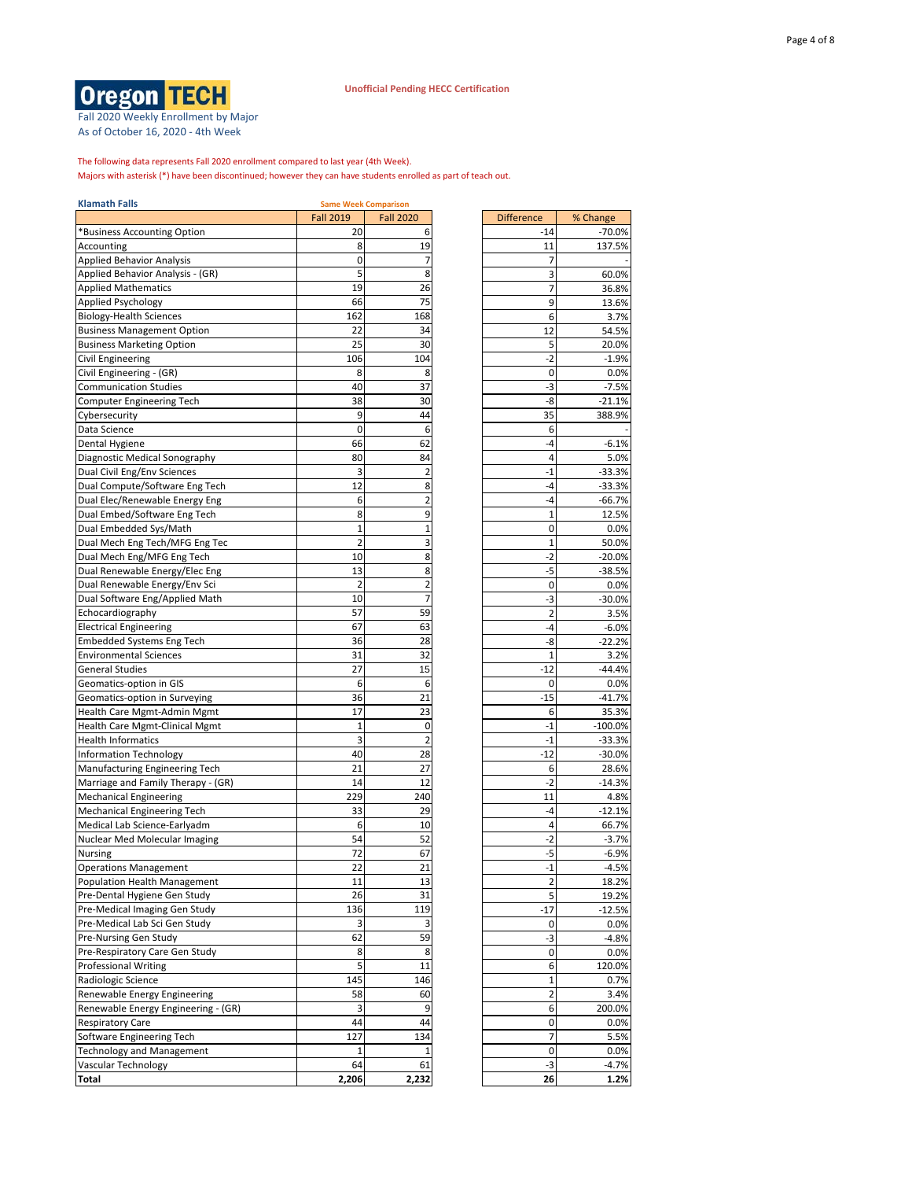Fall 2020 Weekly Enrollment by Major As of October 16, 2020 - 4th Week

Majors with asterisk (\*) have been discontinued; however they can have students enrolled as part of teach out. The following data represents Fall 2020 enrollment compared to last year (4th Week).

| <b>Klamath Falls</b>                |                  | <b>Same Week Comparison</b> |                   |           |
|-------------------------------------|------------------|-----------------------------|-------------------|-----------|
|                                     | <b>Fall 2019</b> | <b>Fall 2020</b>            | <b>Difference</b> | % Change  |
| *Business Accounting Option         | 20               | 6                           | -14               | $-70.0%$  |
| Accounting                          | 8                | 19                          | 11                | 137.5%    |
| <b>Applied Behavior Analysis</b>    | 0                | 7                           | 7                 |           |
| Applied Behavior Analysis - (GR)    | 5                | 8                           | 3                 | 60.0%     |
| <b>Applied Mathematics</b>          | 19               | 26                          | 7                 | 36.8%     |
| Applied Psychology                  | 66               | 75                          | 9                 | 13.6%     |
| <b>Biology-Health Sciences</b>      | 162              | 168                         | 6                 | 3.7%      |
| <b>Business Management Option</b>   | 22               | 34                          | 12                | 54.5%     |
| <b>Business Marketing Option</b>    | 25               | 30                          | 5                 | 20.0%     |
| <b>Civil Engineering</b>            | 106              | 104                         | $-2$              | $-1.9%$   |
| Civil Engineering - (GR)            | 8                | 8                           | 0                 | 0.0%      |
| <b>Communication Studies</b>        | 40               | 37                          | -3                | $-7.5%$   |
| <b>Computer Engineering Tech</b>    | 38               | 30                          | -8                | $-21.1%$  |
| Cybersecurity                       | 9                | 44                          | 35                | 388.9%    |
| Data Science                        | 0                | 6                           | 6                 |           |
|                                     | 66               | 62                          | -4                |           |
| Dental Hygiene                      |                  |                             |                   | $-6.1%$   |
| Diagnostic Medical Sonography       | 80               | 84                          | 4                 | 5.0%      |
| Dual Civil Eng/Env Sciences         | 3                | $\overline{2}$              | $-1$              | $-33.3%$  |
| Dual Compute/Software Eng Tech      | 12               | 8                           | -4                | $-33.3%$  |
| Dual Elec/Renewable Energy Eng      | 6                | $\overline{2}$              | -4                | $-66.7%$  |
| Dual Embed/Software Eng Tech        | 8                | 9                           | 1                 | 12.5%     |
| Dual Embedded Sys/Math              | 1                | 1                           | 0                 | 0.0%      |
| Dual Mech Eng Tech/MFG Eng Tec      | $\overline{2}$   | 3                           | $\mathbf 1$       | 50.0%     |
| Dual Mech Eng/MFG Eng Tech          | 10               | 8                           | $-2$              | $-20.0%$  |
| Dual Renewable Energy/Elec Eng      | 13               | 8                           | -5                | $-38.5%$  |
| Dual Renewable Energy/Env Sci       | $\overline{2}$   | $\overline{2}$              | $\mathbf 0$       | 0.0%      |
| Dual Software Eng/Applied Math      | 10               | $\overline{7}$              | -3                | $-30.0%$  |
| Echocardiography                    | 57               | 59                          | $\overline{2}$    | 3.5%      |
| <b>Electrical Engineering</b>       | 67               | 63                          | $-4$              | $-6.0%$   |
| <b>Embedded Systems Eng Tech</b>    | 36               | 28                          | -8                | $-22.2%$  |
| <b>Environmental Sciences</b>       | 31               | 32                          | 1                 | 3.2%      |
| <b>General Studies</b>              | 27               | 15                          | $-12$             | $-44.4%$  |
| Geomatics-option in GIS             | 6                | 6                           | 0                 | 0.0%      |
| Geomatics-option in Surveying       | 36               | 21                          | $-15$             | $-41.7%$  |
| Health Care Mgmt-Admin Mgmt         | 17               | 23                          | 6                 | 35.3%     |
| Health Care Mgmt-Clinical Mgmt      | $\mathbf 1$      | 0                           | $-1$              | $-100.0%$ |
| <b>Health Informatics</b>           | 3                | $\overline{2}$              | $-1$              | $-33.3%$  |
| <b>Information Technology</b>       | 40               | 28                          | $-12$             | $-30.0%$  |
| Manufacturing Engineering Tech      | 21               | 27                          | 6                 | 28.6%     |
| Marriage and Family Therapy - (GR)  | 14               | 12                          | $-2$              | $-14.3%$  |
| <b>Mechanical Engineering</b>       | 229              | 240                         | 11                | 4.8%      |
| <b>Mechanical Engineering Tech</b>  | 33               | 29                          | -4                | $-12.1%$  |
| Medical Lab Science-Earlyadm        | 6                | 10                          | 4                 | 66.7%     |
| Nuclear Med Molecular Imaging       | 54               | 52                          | -2                | $-3.7%$   |
| Nursing                             | 72               | 67                          | -5                | $-6.9%$   |
| <b>Operations Management</b>        | 22               | 21                          | -1                | -4.5%     |
| Population Health Management        | 11               | 13                          | $\overline{2}$    | 18.2%     |
| Pre-Dental Hygiene Gen Study        | 26               | 31                          | 5                 | 19.2%     |
| Pre-Medical Imaging Gen Study       | 136              | 119                         | -17               | $-12.5%$  |
| Pre-Medical Lab Sci Gen Study       |                  | 3                           |                   | 0.0%      |
| Pre-Nursing Gen Study               | 3<br>62          | 59                          | 0<br>-3           | $-4.8%$   |
|                                     |                  |                             |                   |           |
| Pre-Respiratory Care Gen Study      | 8                | 8                           | 0                 | 0.0%      |
| <b>Professional Writing</b>         | 5                | 11                          | 6                 | 120.0%    |
| Radiologic Science                  | 145              | 146                         | $\mathbf{1}$      | 0.7%      |
| Renewable Energy Engineering        | 58               | 60                          | $\overline{2}$    | 3.4%      |
| Renewable Energy Engineering - (GR) | 3                | 9                           | 6                 | 200.0%    |
| <b>Respiratory Care</b>             | 44               | 44                          | 0                 | 0.0%      |
| Software Engineering Tech           | 127              | 134                         | 7                 | 5.5%      |
| <b>Technology and Management</b>    | 1                | 1                           | $\pmb{0}$         | 0.0%      |
| Vascular Technology                 | 64               | 61                          | -3                | $-4.7%$   |
| Total                               | 2,206            | 2,232                       | 26                | 1.2%      |

| Difference              | % Change |
|-------------------------|----------|
| $-14$                   | -70.0%   |
| 11                      | 137.5%   |
| 7                       |          |
| 3                       | 60.0%    |
|                         |          |
| 7                       | 36.8%    |
| 9                       | 13.6%    |
| 6                       | 3.7%     |
| 12                      | 54.5%    |
| 5                       | 20.0%    |
| -2                      | $-1.9%$  |
|                         |          |
| 0                       | 0.0%     |
| -3                      | $-7.5%$  |
| -8                      | $-21.1%$ |
| 35                      | 388.9%   |
| 6                       |          |
| $-4$                    | $-6.1%$  |
|                         |          |
| 4                       | 5.0%     |
| -1                      | $-33.3%$ |
| -4                      | -33.3%   |
| -4                      | -66.7%   |
| 1                       | 12.5%    |
| 0                       | 0.0%     |
| 1                       | 50.0%    |
|                         |          |
| -2                      | -20.0%   |
| ٠5                      | $-38.5%$ |
| 0                       | $0.0\%$  |
| -3                      | $-30.0%$ |
| 2                       | 3.5%     |
| -4                      | $-6.0%$  |
| -8                      | $-22.2%$ |
|                         |          |
| 1                       | 3.2%     |
| $-12$                   | $-44.4%$ |
| 0                       | 0.0%     |
| $-15$                   | -41.7%   |
| 6                       | 35.3%    |
| -1                      | -100.0%  |
| $-1$                    | -33.3%   |
|                         |          |
| $-12$                   | $-30.0%$ |
| 6                       | 28.6%    |
| -2                      | $-14.3%$ |
| 11                      | 4.8%     |
| $-4$                    | $-12.1%$ |
| 4                       | 66.7%    |
| $-2$                    | $-3.7%$  |
|                         |          |
| -5                      | $-6.9%$  |
| -1                      | $-4.5%$  |
| $\overline{\mathbf{c}}$ | 18.2%    |
| 5                       | 19.2%    |
| -17                     | $-12.5%$ |
| 0                       | 0.0%     |
|                         | $-4.8%$  |
| ٠3                      |          |
| 0                       | 0.0%     |
| 6                       | 120.0%   |
| 1                       | 0.7%     |
| 2                       | 3.4%     |
| 6                       | 200.0%   |
|                         |          |
| 0                       | 0.0%     |
| 7                       | 5.5%     |
| 0                       | 0.0%     |
| ٠3                      | $-4.7%$  |
| 26                      | 1.2%     |
|                         |          |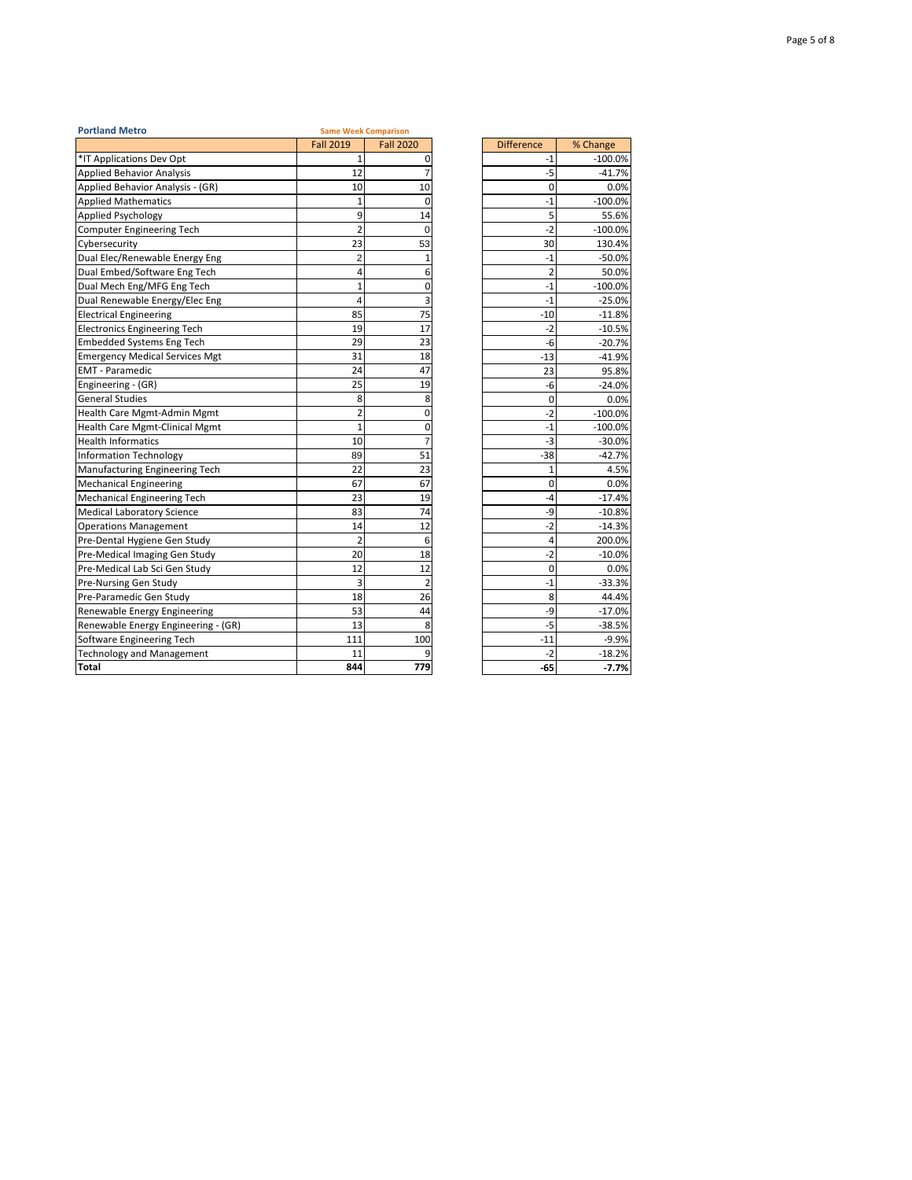| <b>Portland Metro</b>                 |                  | <b>Same Week Comparison</b> |                   |           |
|---------------------------------------|------------------|-----------------------------|-------------------|-----------|
|                                       | <b>Fall 2019</b> | <b>Fall 2020</b>            | <b>Difference</b> | % Change  |
| *IT Applications Dev Opt              | 1                | $\Omega$                    | -1                | $-100.0%$ |
| <b>Applied Behavior Analysis</b>      | 12               | $\overline{7}$              | $-5$              | $-41.7%$  |
| Applied Behavior Analysis - (GR)      | 10               | 10                          | 0                 | 0.0%      |
| <b>Applied Mathematics</b>            | 1                | 0                           | $-1$              | $-100.0%$ |
| Applied Psychology                    | 9                | 14                          | 5                 | 55.6%     |
| <b>Computer Engineering Tech</b>      | $\overline{2}$   | $\Omega$                    | $-2$              | $-100.0%$ |
| Cybersecurity                         | 23               | 53                          | 30                | 130.4%    |
| Dual Elec/Renewable Energy Eng        | $\overline{2}$   | 1                           | $-1$              | $-50.0%$  |
| Dual Embed/Software Eng Tech          | 4                | 6                           | $\overline{2}$    | 50.0%     |
| Dual Mech Eng/MFG Eng Tech            | $\mathbf{1}$     | 0                           | $-1$              | $-100.0%$ |
| Dual Renewable Energy/Elec Eng        | 4                | 3                           | $-1$              | $-25.0%$  |
| <b>Electrical Engineering</b>         | 85               | 75                          | $-10$             | $-11.8%$  |
| <b>Electronics Engineering Tech</b>   | 19               | 17                          | $-2$              | $-10.5%$  |
| <b>Embedded Systems Eng Tech</b>      | 29               | 23                          | -6                | $-20.7%$  |
| <b>Emergency Medical Services Mgt</b> | 31               | 18                          | $-13$             | $-41.9%$  |
| <b>EMT</b> - Paramedic                | 24               | 47                          | 23                | 95.8%     |
| Engineering - (GR)                    | 25               | 19                          | -6                | $-24.0%$  |
| <b>General Studies</b>                | 8                | 8                           | 0                 | 0.0%      |
| Health Care Mgmt-Admin Mgmt           | $\overline{2}$   | 0                           | $-2$              | $-100.0%$ |
| Health Care Mgmt-Clinical Mgmt        | $\mathbf{1}$     | 0                           | $-1$              | $-100.0%$ |
| <b>Health Informatics</b>             | 10               | $\overline{7}$              | -3                | $-30.0%$  |
| <b>Information Technology</b>         | 89               | 51                          | $-38$             | $-42.7%$  |
| Manufacturing Engineering Tech        | 22               | 23                          | 1                 | 4.5%      |
| <b>Mechanical Engineering</b>         | 67               | 67                          | 0                 | 0.0%      |
| <b>Mechanical Engineering Tech</b>    | 23               | 19                          | $-4$              | $-17.4%$  |
| <b>Medical Laboratory Science</b>     | 83               | 74                          | -9                | $-10.8%$  |
| <b>Operations Management</b>          | 14               | 12                          | $-2$              | $-14.3%$  |
| Pre-Dental Hygiene Gen Study          | $\overline{2}$   | 6                           | 4                 | 200.0%    |
| Pre-Medical Imaging Gen Study         | 20               | 18                          | $-2$              | $-10.0%$  |
| Pre-Medical Lab Sci Gen Study         | 12               | 12                          | 0                 | 0.0%      |
| Pre-Nursing Gen Study                 | 3                | $\overline{2}$              | $-1$              | $-33.3%$  |
| Pre-Paramedic Gen Study               | 18               | 26                          | 8                 | 44.4%     |
| Renewable Energy Engineering          | 53               | 44                          | -9                | $-17.0%$  |
| Renewable Energy Engineering - (GR)   | 13               | 8                           | $-5$              | $-38.5%$  |
| Software Engineering Tech             | 111              | 100                         | $-11$             | $-9.9%$   |
| <b>Technology and Management</b>      | 11               | 9                           | $-2$              | $-18.2%$  |
| <b>Total</b>                          | 844              | 779                         | $-65$             | $-7.7%$   |

| <b>Fall 2019</b> | <b>Fall 2020</b> | <b>Difference</b> | % Change  |
|------------------|------------------|-------------------|-----------|
| 1                | 0                | -1                | $-100.0%$ |
| 12               | $\overline{7}$   | $-5$              | $-41.7%$  |
| 10               | 10               | 0                 | 0.0%      |
| 1                | 0                | $-1$              | $-100.0%$ |
| 9                | 14               | 5                 | 55.6%     |
| $\overline{2}$   | 0                | $-2$              | $-100.0%$ |
| 23               | 53               | 30                | 130.4%    |
| $\overline{2}$   | $\mathbf 1$      | $-1$              | $-50.0%$  |
| 4                | 6                | $\overline{2}$    | 50.0%     |
| $\overline{1}$   | $\mathbf 0$      | $-1$              | $-100.0%$ |
| 4                | 3                | $-1$              | $-25.0%$  |
| 85               | 75               | $-10$             | $-11.8%$  |
| 19               | 17               | $-2$              | $-10.5%$  |
| 29               | 23               | -6                | $-20.7%$  |
| 31               | 18               | $-13$             | $-41.9%$  |
| 24               | 47               | 23                | 95.8%     |
| 25               | 19               | -6                | $-24.0%$  |
| 8                | 8                | 0                 | 0.0%      |
| $\overline{2}$   | 0                | $-2$              | $-100.0%$ |
| $\overline{1}$   | 0                | $-1$              | $-100.0%$ |
| 10               | $\overline{7}$   | $-3$              | $-30.0%$  |
| 89               | 51               | $-38$             | $-42.7%$  |
| 22               | 23               | $\mathbf{1}$      | 4.5%      |
| 67               | 67               | 0                 | 0.0%      |
| 23               | 19               | $-4$              | $-17.4%$  |
| 83               | 74               | -9                | $-10.8%$  |
| 14               | 12               | $-2$              | $-14.3%$  |
| $\overline{2}$   | 6                | 4                 | 200.0%    |
| 20               | 18               | $-2$              | $-10.0%$  |
| 12               | 12               | 0                 | 0.0%      |
| 3                | $\overline{2}$   | $-1$              | $-33.3%$  |
| 18               | 26               | 8                 | 44.4%     |
| 53               | 44               | -9                | $-17.0%$  |
| 13               | 8                | -5                | $-38.5%$  |
| 111              | 100              | $-11$             | $-9.9%$   |
| 11               | 9                | $-2$              | $-18.2%$  |
| 844              | 779              | $-65$             | $-7.7%$   |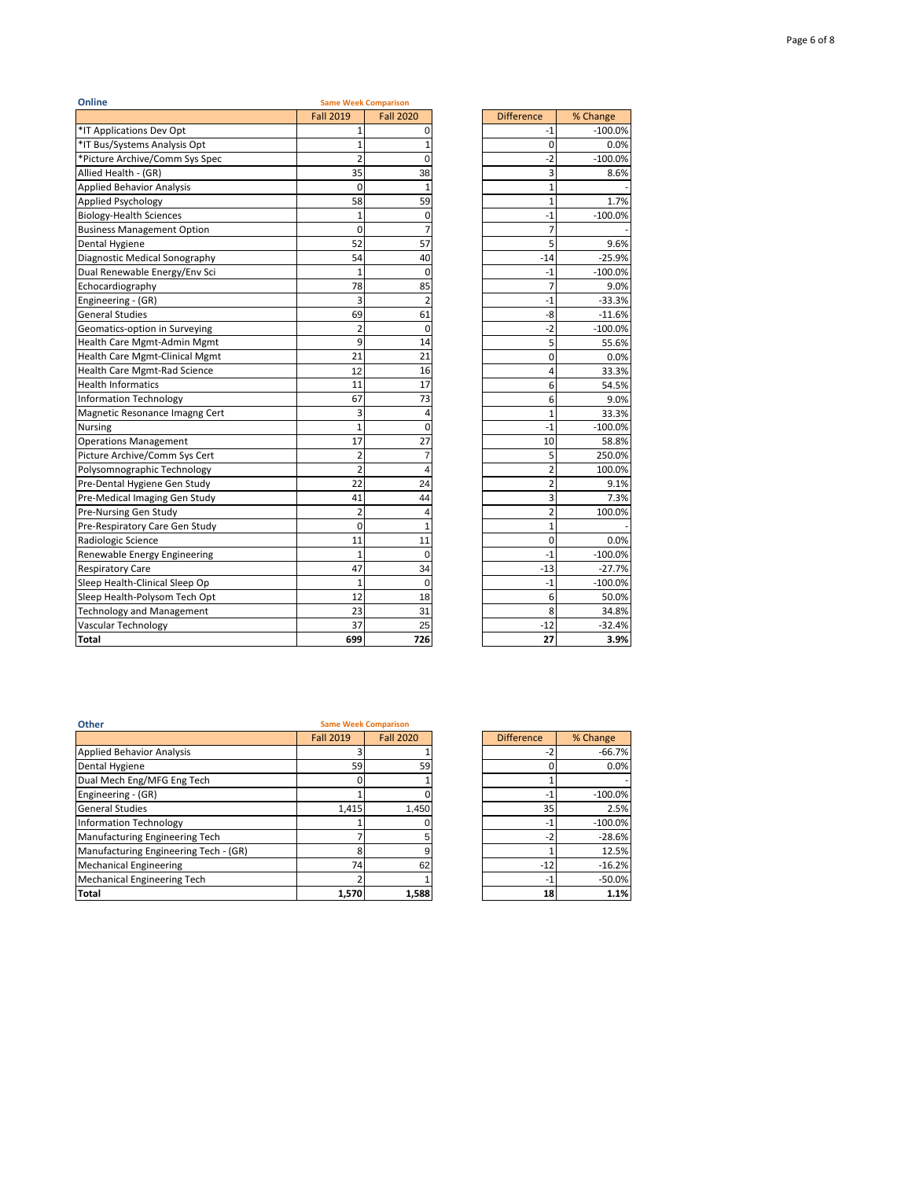| Online                              | <b>Fall 2019</b>    | <b>Same Week Comparison</b><br><b>Fall 2020</b> | <b>Difference</b> | % Change          |
|-------------------------------------|---------------------|-------------------------------------------------|-------------------|-------------------|
| *IT Applications Dev Opt            | 1                   |                                                 |                   |                   |
| *IT Bus/Systems Analysis Opt        |                     | $\Omega$                                        | -1                | $-100.0%$         |
| *Picture Archive/Comm Sys Spec      | 1<br>$\overline{2}$ | 0                                               | 0<br>$-2$         | 0.0%              |
| Allied Health - (GR)                | 35                  | 38                                              | 3                 | $-100.0%$<br>8.6% |
| <b>Applied Behavior Analysis</b>    | 0                   | $\mathbf{1}$                                    | $\mathbf{1}$      |                   |
| Applied Psychology                  | 58                  | 59                                              | $\mathbf{1}$      | 1.7%              |
| <b>Biology-Health Sciences</b>      | $\mathbf{1}$        | 0                                               | $-1$              | $-100.0%$         |
| <b>Business Management Option</b>   | 0                   | $\overline{7}$                                  | 7                 |                   |
| Dental Hygiene                      | 52                  | 57                                              | 5                 | 9.6%              |
| Diagnostic Medical Sonography       | 54                  | 40                                              | $-14$             | $-25.9%$          |
| Dual Renewable Energy/Env Sci       | $\mathbf{1}$        | $\mathbf 0$                                     | -1                | $-100.0%$         |
| Echocardiography                    | 78                  | 85                                              | 7                 | 9.0%              |
| Engineering - (GR)                  | 3                   | $\overline{2}$                                  | $-1$              | $-33.3%$          |
| <b>General Studies</b>              | 69                  | 61                                              | -8                | $-11.6%$          |
| Geomatics-option in Surveying       | $\overline{2}$      | $\mathbf 0$                                     | $-2$              | $-100.0%$         |
| Health Care Mgmt-Admin Mgmt         | 9                   | 14                                              | 5                 | 55.6%             |
| Health Care Mgmt-Clinical Mgmt      | 21                  | 21                                              | 0                 | 0.0%              |
| <b>Health Care Mgmt-Rad Science</b> | 12                  | 16                                              | 4                 | 33.3%             |
| <b>Health Informatics</b>           | 11                  | 17                                              | 6                 | 54.5%             |
| <b>Information Technology</b>       | 67                  | 73                                              | 6                 | 9.0%              |
| Magnetic Resonance Imagng Cert      | 3                   | 4                                               | $\mathbf{1}$      | 33.3%             |
| <b>Nursing</b>                      | 1                   | $\Omega$                                        | -1                | $-100.0%$         |
| <b>Operations Management</b>        | 17                  | 27                                              | 10                | 58.8%             |
| Picture Archive/Comm Sys Cert       | $\overline{2}$      | $\overline{7}$                                  | 5                 | 250.0%            |
| Polysomnographic Technology         | $\overline{2}$      | 4                                               | $\overline{2}$    | 100.0%            |
| Pre-Dental Hygiene Gen Study        | 22                  | 24                                              | $\overline{2}$    | 9.1%              |
| Pre-Medical Imaging Gen Study       | 41                  | 44                                              | 3                 | 7.3%              |
| Pre-Nursing Gen Study               | $\overline{2}$      | 4                                               | $\overline{2}$    | 100.0%            |
| Pre-Respiratory Care Gen Study      | 0                   | 1                                               | $\mathbf 1$       |                   |
| Radiologic Science                  | 11                  | 11                                              | 0                 | 0.0%              |
| Renewable Energy Engineering        | $\mathbf{1}$        | $\Omega$                                        | $-1$              | $-100.0%$         |
| <b>Respiratory Care</b>             | 47                  | 34                                              | $-13$             | $-27.7%$          |
| Sleep Health-Clinical Sleep Op      | $\mathbf{1}$        | 0                                               | $-1$              | $-100.0%$         |
| Sleep Health-Polysom Tech Opt       | 12                  | 18                                              | 6                 | 50.0%             |
| <b>Technology and Management</b>    | 23                  | 31                                              | 8                 | 34.8%             |
| <b>Vascular Technology</b>          | 37                  | 25                                              | $-12$             | $-32.4%$          |
| <b>Total</b>                        | 699                 | 726                                             | 27                | 3.9%              |

| Difference              | % Change  |
|-------------------------|-----------|
| $-1$                    | $-100.0%$ |
| 0                       | 0.0%      |
| $-2$                    | $-100.0%$ |
| 3                       | 8.6%      |
| 1                       |           |
| $\overline{1}$          | 1.7%      |
| -1                      | $-100.0%$ |
| 7                       |           |
| 5                       | 9.6%      |
| $-14$                   | $-25.9%$  |
| $-1$                    | $-100.0%$ |
| 7                       | 9.0%      |
| $-1$                    | $-33.3%$  |
| -8                      | $-11.6%$  |
| $-2$                    | $-100.0%$ |
| 5                       | 55.6%     |
| 0                       | 0.0%      |
| 4                       | 33.3%     |
| 6                       | 54.5%     |
| 6                       | 9.0%      |
| $\mathbf{1}$            | 33.3%     |
| $-1$                    | $-100.0%$ |
| 10                      | 58.8%     |
| 5                       | 250.0%    |
| $\overline{2}$          | 100.0%    |
| $\overline{2}$          | 9.1%      |
| $\overline{\mathbf{3}}$ | 7.3%      |
| $\overline{2}$          | 100.0%    |
| $\overline{1}$          |           |
| 0                       | 0.0%      |
| $-1$                    | $-100.0%$ |
| $-13$                   | $-27.7%$  |
| $-1$                    | $-100.0%$ |
| 6                       | 50.0%     |
| 8                       | 34.8%     |
| $-12$                   | $-32.4%$  |
| 27                      | 3.9%      |

ń

| Other                                 | <b>Same Week Comparison</b> |                  |                   |           |
|---------------------------------------|-----------------------------|------------------|-------------------|-----------|
|                                       | <b>Fall 2019</b>            | <b>Fall 2020</b> | <b>Difference</b> | % Change  |
| <b>Applied Behavior Analysis</b>      |                             |                  | -2                | $-66.7%$  |
| Dental Hygiene                        | 59                          | 59               |                   | 0.0%      |
| Dual Mech Eng/MFG Eng Tech            |                             |                  |                   |           |
| Engineering - (GR)                    |                             |                  | $-1$              | $-100.0%$ |
| <b>General Studies</b>                | 1.415                       | 1.450            | 35                | 2.5%      |
| Information Technology                |                             |                  | $-1$              | $-100.0%$ |
| Manufacturing Engineering Tech        |                             |                  | $-2$              | $-28.6%$  |
| Manufacturing Engineering Tech - (GR) | ጸ                           |                  |                   | 12.5%     |
| <b>Mechanical Engineering</b>         | 74                          | 62               | $-12$             | $-16.2%$  |
| Mechanical Engineering Tech           |                             |                  | $-1$              | $-50.0%$  |
| <b>Total</b>                          | 1,570                       | 1,588            | 18                | 1.1%      |

| <b>Fall 2019</b> | <b>Fall 2020</b> | <b>Difference</b> | % Change  |
|------------------|------------------|-------------------|-----------|
| 3                |                  | $-2$              | $-66.7%$  |
| 59               | 59               |                   | 0.0%      |
|                  |                  |                   |           |
|                  |                  | $-1$              | $-100.0%$ |
| 1,415            | 1,450            | 35                | 2.5%      |
|                  |                  | $-1$              | $-100.0%$ |
|                  | 5                | $-2$              | $-28.6%$  |
| 8                | 9                |                   | 12.5%     |
| 74               | 62               | $-12$             | $-16.2%$  |
|                  |                  | $-1$              | $-50.0%$  |
| 1,570            | 1,588            | 18                | 1.1%      |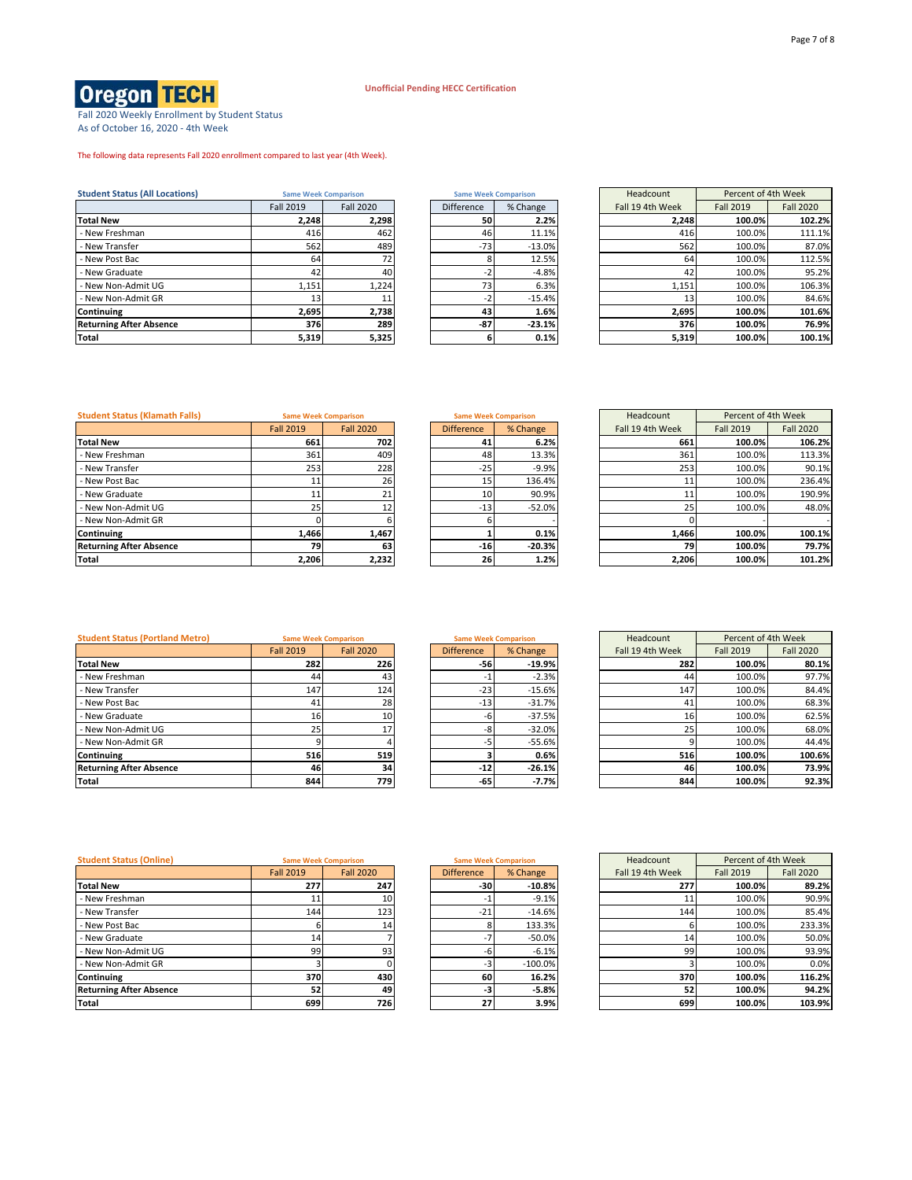Fall 2020 Weekly Enrollment by Student Status As of October 16, 2020 - 4th Week

The following data represents Fall 2020 enrollment compared to last year (4th Week).

| <b>Student Status (All Locations)</b> | <b>Same Week Comparison</b> |                  | <b>Same Week Comparison</b> |                   |          | Headcount | Percent of 4th Week |                  |                  |
|---------------------------------------|-----------------------------|------------------|-----------------------------|-------------------|----------|-----------|---------------------|------------------|------------------|
|                                       | <b>Fall 2019</b>            | <b>Fall 2020</b> |                             | <b>Difference</b> | % Change |           | Fall 19 4th Week    | <b>Fall 2019</b> | <b>Fall 2020</b> |
| <b>Total New</b>                      | 2.248                       | 2,298            |                             | 50                | 2.2%     |           | 2.248               | 100.0%           | 102.2%           |
| - New Freshman                        | 416                         | 462              |                             | 46                | 11.1%    |           | 416                 | 100.0%           | 111.1%           |
| - New Transfer                        | 562                         | 489              |                             | $-73$             | $-13.0%$ |           | 562                 | 100.0%           | 87.0%            |
| - New Post Bac                        | 64                          | <b>721</b>       |                             |                   | 12.5%    |           | 64                  | 100.0%           | 112.5%           |
| - New Graduate                        | 42                          | 40               |                             |                   | $-4.8%$  |           | 42                  | 100.0%           | 95.2%            |
| - New Non-Admit UG                    | 1,151                       | 1,224            |                             | 73                | 6.3%     |           | 1,151               | 100.0%           | 106.3%           |
| - New Non-Admit GR                    | 13 <sup>1</sup>             |                  |                             |                   | $-15.4%$ |           | 13 <sup>1</sup>     | 100.0%           | 84.6%            |
| Continuing                            | 2,695                       | 2,738            |                             | 43                | 1.6%     |           | 2,695               | 100.0%           | 101.6%           |
| <b>Returning After Absence</b>        | 376                         | 289              |                             | $-87$             | $-23.1%$ |           | 376                 | 100.0%           | 76.9%            |
| <b>Total</b>                          | 5,319                       | 5,325            |                             |                   | 0.1%     |           | 5.319               | 100.0%           | 100.1%           |

| Same Week Comparison |          |  |  |  |  |  |  |  |  |
|----------------------|----------|--|--|--|--|--|--|--|--|
| <b>Difference</b>    | % Change |  |  |  |  |  |  |  |  |
| 50                   | 2.2%     |  |  |  |  |  |  |  |  |
| 46                   | 11.1%    |  |  |  |  |  |  |  |  |
| $-73$                | $-13.0%$ |  |  |  |  |  |  |  |  |
| 8                    | 12.5%    |  |  |  |  |  |  |  |  |
| -2                   | $-4.8%$  |  |  |  |  |  |  |  |  |
| 73                   | 6.3%     |  |  |  |  |  |  |  |  |
| $-2$                 | $-15.4%$ |  |  |  |  |  |  |  |  |
| 43                   | 1.6%     |  |  |  |  |  |  |  |  |
| $-87$                | $-23.1%$ |  |  |  |  |  |  |  |  |
| 6                    | 0.1%     |  |  |  |  |  |  |  |  |

| <b>Same Week Comparison</b> |                  | <b>Same Week Comparison</b> |           | Percent of 4th Week<br>Headcount |                  |                  |
|-----------------------------|------------------|-----------------------------|-----------|----------------------------------|------------------|------------------|
| Fall 2019                   | <b>Fall 2020</b> | Difference                  | % Change  | Fall 19 4th Week                 | <b>Fall 2019</b> | <b>Fall 2020</b> |
| 2,248                       | 2,298            | 50                          | 2.2%      | 2.248                            | 100.0%           | 102.2%           |
| 416                         | 462              | 46                          | 11.1%     | 416                              | 100.0%           | 111.1%           |
| 562                         | 489              | $-73$                       | $-13.0\%$ | 562                              | 100.0%           | 87.0%            |
| 64                          | 72               |                             | 12.5%     | 64                               | 100.0%           | 112.5%           |
| 42                          | 40               | -2                          | $-4.8%$   | 42                               | 100.0%           | 95.2%            |
| 1,151                       | 1,224            | 73                          | 6.3%      | 1,151                            | 100.0%           | 106.3%           |
| 13                          | 11               | $-2$                        | $-15.4%$  | 13                               | 100.0%           | 84.6%            |
| 2,695                       | 2,738            | 43                          | 1.6%      | 2,695                            | 100.0%           | 101.6%           |
| 376                         | 289              | -87                         | $-23.1%$  | 376                              | 100.0%           | 76.9%            |
| 5,319                       | 5,325            | 6                           | 0.1%      | 5,319                            | 100.0%           | 100.1%           |

## **Student Status (Klamath Falls)**

|                                | <b>Fall 2019</b> | <b>Fall 2020</b> | <b>Difference</b> | % Change | Fall 19 4th Week | <b>Fall 2019</b> | <b>Fall 2020</b> |
|--------------------------------|------------------|------------------|-------------------|----------|------------------|------------------|------------------|
| <b>Total New</b>               | 661              | 702              | 41                | 6.2%     | 661              | 100.0%           | 106.2%           |
| - New Freshman                 | 361              | 409              | 48                | 13.3%    | 361              | 100.0%           | 113.3%           |
| - New Transfer                 | 253              | 228              | $-25$             | $-9.9%$  | 253              | 100.0%           | 90.1%            |
| - New Post Bac                 |                  | 26               |                   | 136.4%   |                  | 100.0%           | 236.4%           |
| - New Graduate                 |                  |                  | 10                | 90.9%    |                  | 100.0%           | 190.9%           |
| - New Non-Admit UG             | 25 <sub>1</sub>  |                  | $-13$             | $-52.0%$ |                  | 100.0%           | 48.0%            |
| - New Non-Admit GR             |                  |                  |                   |          |                  |                  |                  |
| Continuing                     | 1.466            | 1,467            |                   | 0.1%     | 1.466            | 100.0%           | 100.1%           |
| <b>Returning After Absence</b> | 79               | 63               | $-16$             | $-20.3%$ | 79               | 100.0%           | 79.7%            |
| Total                          | 2,206            | 2,232            | 26                | 1.2%     | 2.206            | 100.0%           | 101.2%           |

| <b>Same Week Comparison</b> |          |  |  |  |  |  |  |
|-----------------------------|----------|--|--|--|--|--|--|
| <b>Difference</b>           | % Change |  |  |  |  |  |  |
| 41                          | 6.2%     |  |  |  |  |  |  |
| 48                          | 13.3%    |  |  |  |  |  |  |
| $-25$                       | $-9.9%$  |  |  |  |  |  |  |
| 15                          | 136.4%   |  |  |  |  |  |  |
| 10                          | 90.9%    |  |  |  |  |  |  |
| $-13$                       | $-52.0%$ |  |  |  |  |  |  |
| 6                           |          |  |  |  |  |  |  |
| 1                           | 0.1%     |  |  |  |  |  |  |
| $-16$                       | $-20.3%$ |  |  |  |  |  |  |
| 26                          | 1.2%     |  |  |  |  |  |  |

| <b>Same Week Comparison</b> |                  | <b>Same Week Comparison</b> |          | Headcount        | Percent of 4th Week |                  |  |
|-----------------------------|------------------|-----------------------------|----------|------------------|---------------------|------------------|--|
| <b>Fall 2019</b>            | <b>Fall 2020</b> | <b>Difference</b>           | % Change | Fall 19 4th Week | <b>Fall 2019</b>    | <b>Fall 2020</b> |  |
| 661                         | 702              | 41                          | 6.2%     | 661              | 100.0%              | 106.2%           |  |
| 361                         | 409              | 48                          | 13.3%    | 361              | 100.0%              | 113.3%           |  |
| 253                         | 228              | $-25$                       | $-9.9%$  | 253              | 100.0%              | 90.1%            |  |
| 11                          | 26               | 15                          | 136.4%   | 11               | 100.0%              | 236.4%           |  |
| 11                          | 21               | 10                          | 90.9%    | 11               | 100.0%              | 190.9%           |  |
| 25                          | 12               | $-13$                       | $-52.0%$ | 25               | 100.0%              | 48.0%            |  |
|                             |                  |                             |          |                  |                     |                  |  |
| 1,466                       | 1,467            |                             | 0.1%     | 1,466            | 100.0%              | 100.1%           |  |
| 79                          | 63               | $-16$                       | $-20.3%$ | 79               | 100.0%              | 79.7%            |  |
| 2,206                       | 2,232            | 26                          | 1.2%     | 2,206            | 100.0%              | 101.2%           |  |

### **Student Status (Portland Metro)** Same Week Comparison Same Week Contained Same Week Contained Same Week Contained Same Week Contained Same Week Contained Same Week Contained Same Week Contained Same Week Contained Same We

| <b>Student Status (Portland Metro)</b> |                  | <b>Same Week Comparison</b> |                   | <b>Same Week Comparison</b> | Headcount        | Percent of 4th Week |                  |
|----------------------------------------|------------------|-----------------------------|-------------------|-----------------------------|------------------|---------------------|------------------|
|                                        | <b>Fall 2019</b> | <b>Fall 2020</b>            | <b>Difference</b> | % Change                    | Fall 19 4th Week | <b>Fall 2019</b>    | <b>Fall 2020</b> |
| <b>Total New</b>                       | 282              | 226                         | -561              | -19.9%                      | 282              | 100.0%              | 80.1%            |
| - New Freshman                         | 44               | 43 <sub>1</sub>             |                   | $-2.3%$                     | 44               | 100.0%              | 97.7%            |
| - New Transfer                         | 147              | 124                         | $-23$             | $-15.6%$                    | 147              | 100.0%              | 84.4%            |
| - New Post Bac                         | 41               | 28                          | $-13$             | $-31.7%$                    | 41               | 100.0%              | 68.3%            |
| - New Graduate                         | 16               | 10 <sup>1</sup>             |                   | $-37.5%$                    | 16               | 100.0%              | 62.5%            |
| - New Non-Admit UG                     | 25               |                             |                   | $-32.0%$                    | 25               | 100.0%              | 68.0%            |
| - New Non-Admit GR                     |                  |                             |                   | $-55.6%$                    |                  | 100.0%              | 44.4%            |
| Continuing                             | 516              | 519                         |                   | 0.6%                        | 516              | 100.0%              | 100.6%           |
| <b>Returning After Absence</b>         | 46               | 34                          | $-12$             | $-26.1%$                    | 46               | 100.0%              | 73.9%            |
| Total                                  | 844              | 779                         | -65               | $-7.7%$                     | 844              | 100.0%              | 92.3%            |

| <b>SAILLE ANGER COILIDALISOIL</b> |          |  |  |  |  |  |  |  |
|-----------------------------------|----------|--|--|--|--|--|--|--|
| <b>Difference</b>                 | % Change |  |  |  |  |  |  |  |
| $-56$                             | $-19.9%$ |  |  |  |  |  |  |  |
| $-1$                              | $-2.3%$  |  |  |  |  |  |  |  |
| $-23$                             | $-15.6%$ |  |  |  |  |  |  |  |
| $-13$                             | $-31.7%$ |  |  |  |  |  |  |  |
| -6                                | $-37.5%$ |  |  |  |  |  |  |  |
| -8                                | $-32.0%$ |  |  |  |  |  |  |  |
| -5                                | $-55.6%$ |  |  |  |  |  |  |  |
| 3                                 | 0.6%     |  |  |  |  |  |  |  |
| -12                               | $-26.1%$ |  |  |  |  |  |  |  |
| -65                               | $-7.7%$  |  |  |  |  |  |  |  |

| <b>Same Week Comparison</b> |                  | <b>Same Week Comparison</b> |          | Percent of 4th Week<br>Headcount |                  |                  |
|-----------------------------|------------------|-----------------------------|----------|----------------------------------|------------------|------------------|
| <b>Fall 2019</b>            | <b>Fall 2020</b> | <b>Difference</b>           | % Change | Fall 19 4th Week                 | <b>Fall 2019</b> | <b>Fall 2020</b> |
| 282                         | 226              | $-56$                       | $-19.9%$ | 282                              | 100.0%           | 80.1%            |
| 44                          | 43               | - 1                         | $-2.3%$  | 44                               | 100.0%           | 97.7%            |
| 147                         | 124              | $-23$                       | $-15.6%$ | 147                              | 100.0%           | 84.4%            |
| 41                          | 28               | $-13$                       | $-31.7%$ | 41                               | 100.0%           | 68.3%            |
| 16                          | 10               | -6                          | $-37.5%$ | 16                               | 100.0%           | 62.5%            |
| 25                          | 17               | -8                          | $-32.0%$ | 25                               | 100.0%           | 68.0%            |
|                             |                  | -5                          | $-55.6%$ |                                  | 100.0%           | 44.4%            |
| 516                         | 519              |                             | 0.6%     | 516                              | 100.0%           | 100.6%           |
| 46                          | 34               | $-12$                       | $-26.1%$ | 46                               | 100.0%           | 73.9%            |
| 844                         | 779              | -65                         | $-7.7%$  | 844                              | 100.0%           | 92.3%            |

## **Student Status (Online)**

| <b>Student Status (Online)</b> |                  | <b>Same Week Comparison</b> |                   | <b>Same Week Comparison</b> | Headcount        | Percent of 4th Week |                  |
|--------------------------------|------------------|-----------------------------|-------------------|-----------------------------|------------------|---------------------|------------------|
|                                | <b>Fall 2019</b> | <b>Fall 2020</b>            | <b>Difference</b> | % Change                    | Fall 19 4th Week | <b>Fall 2019</b>    | <b>Fall 2020</b> |
| <b>Total New</b>               | 277              | 247                         | -30               | $-10.8%$                    | 277              | 100.0%              | 89.2%            |
| - New Freshman                 |                  | <b>10</b>                   |                   | $-9.1%$                     |                  | 100.0%              | 90.9%            |
| - New Transfer                 | 144              | 123                         | $-21$             | $-14.6%$                    | 144              | 100.0%              | 85.4%            |
| - New Post Bac                 |                  | 14                          |                   | 133.3%                      |                  | 100.0%              | 233.3%           |
| - New Graduate                 | 14               |                             |                   | $-50.0%$                    | 14               | 100.0%              | 50.0%            |
| - New Non-Admit UG             | 99               | 93 <sub>1</sub>             |                   | $-6.1%$                     | 99               | 100.0%              | 93.9%            |
| - New Non-Admit GR             |                  |                             |                   | $-100.0%$                   |                  | 100.0%              | 0.0%             |
| Continuing                     | 370              | 430                         | 60                | 16.2%                       | 370              | 100.0%              | 116.2%           |
| <b>Returning After Absence</b> | 52               | 49                          | -3                | $-5.8%$                     | 52               | 100.0%              | 94.2%            |
| Total                          | 699              | 726                         | 27                | 3.9%                        | 699              | 100.0%              | 103.9%           |

| <b>Same Week Comparison</b> |           |  |  |  |  |  |  |  |
|-----------------------------|-----------|--|--|--|--|--|--|--|
| <b>Difference</b>           | % Change  |  |  |  |  |  |  |  |
| $-30$                       | $-10.8%$  |  |  |  |  |  |  |  |
| $-1$                        | $-9.1%$   |  |  |  |  |  |  |  |
| $-21$                       | $-14.6%$  |  |  |  |  |  |  |  |
| 8                           | 133.3%    |  |  |  |  |  |  |  |
| $-7$                        | $-50.0%$  |  |  |  |  |  |  |  |
| -6                          | $-6.1%$   |  |  |  |  |  |  |  |
| $-3$                        | $-100.0%$ |  |  |  |  |  |  |  |
| 60                          | 16.2%     |  |  |  |  |  |  |  |
| -3                          | $-5.8%$   |  |  |  |  |  |  |  |
| 27                          | 3.9%      |  |  |  |  |  |  |  |

|                  | <b>Same Week Comparison</b><br><b>Same Week Comparison</b> |  |                   | Headcount | Percent of 4th Week |                  |                  |
|------------------|------------------------------------------------------------|--|-------------------|-----------|---------------------|------------------|------------------|
| <b>Fall 2019</b> | <b>Fall 2020</b>                                           |  | <b>Difference</b> | % Change  | Fall 19 4th Week    | <b>Fall 2019</b> | <b>Fall 2020</b> |
| 277              | 247                                                        |  | -30               | $-10.8%$  | 277                 | 100.0%           | 89.2%            |
| 11               | 10                                                         |  | -1                | $-9.1%$   | 11                  | 100.0%           | 90.9%            |
| 144              | 123                                                        |  | $-21$             | $-14.6%$  | 144                 | 100.0%           | 85.4%            |
| ы                | 14 <sub>1</sub>                                            |  |                   | 133.3%    | 6                   | 100.0%           | 233.3%           |
| 14               |                                                            |  | $-7$              | $-50.0\%$ | 14                  | 100.0%           | 50.0%            |
| 99               | 93                                                         |  | -6                | $-6.1%$   | 99                  | 100.0%           | 93.9%            |
|                  |                                                            |  | $-3$              | $-100.0%$ |                     | 100.0%           | 0.0%             |
| 370              | 430                                                        |  | 60                | 16.2%     | 370                 | 100.0%           | 116.2%           |
| 52               | 49                                                         |  | -3                | $-5.8%$   | 52                  | 100.0%           | 94.2%            |
| 699              | 726                                                        |  | 27                | 3.9%      | 699                 | 100.0%           | 103.9%           |